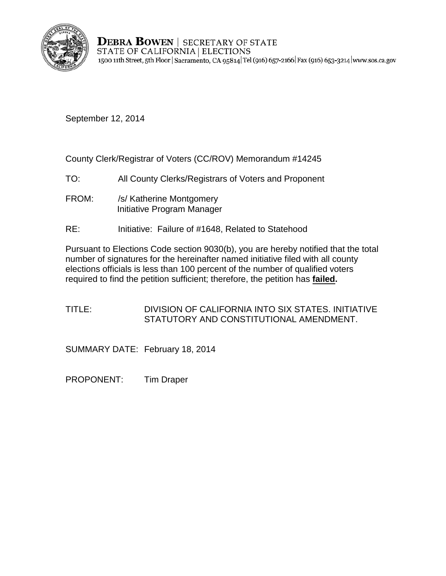

**DEBRA BOWEN | SECRETARY OF STATE** STATE OF CALIFORNIA | ELECTIONS 1500 11th Street, 5th Floor | Sacramento, CA 95814 Tel (916) 657-2166 | Fax (916) 653-3214 | www.sos.ca.gov

September 12, 2014

County Clerk/Registrar of Voters (CC/ROV) Memorandum #14245

- TO: All County Clerks/Registrars of Voters and Proponent
- FROM: /s/ Katherine Montgomery Initiative Program Manager
- RE: Initiative: Failure of #1648, Related to Statehood

Pursuant to Elections Code section 9030(b), you are hereby notified that the total number of signatures for the hereinafter named initiative filed with all county elections officials is less than 100 percent of the number of qualified voters required to find the petition sufficient; therefore, the petition has **failed.** 

TITLE: DIVISION OF CALIFORNIA INTO SIX STATES. INITIATIVE STATUTORY AND CONSTITUTIONAL AMENDMENT.

SUMMARY DATE: February 18, 2014

PROPONENT: Tim Draper